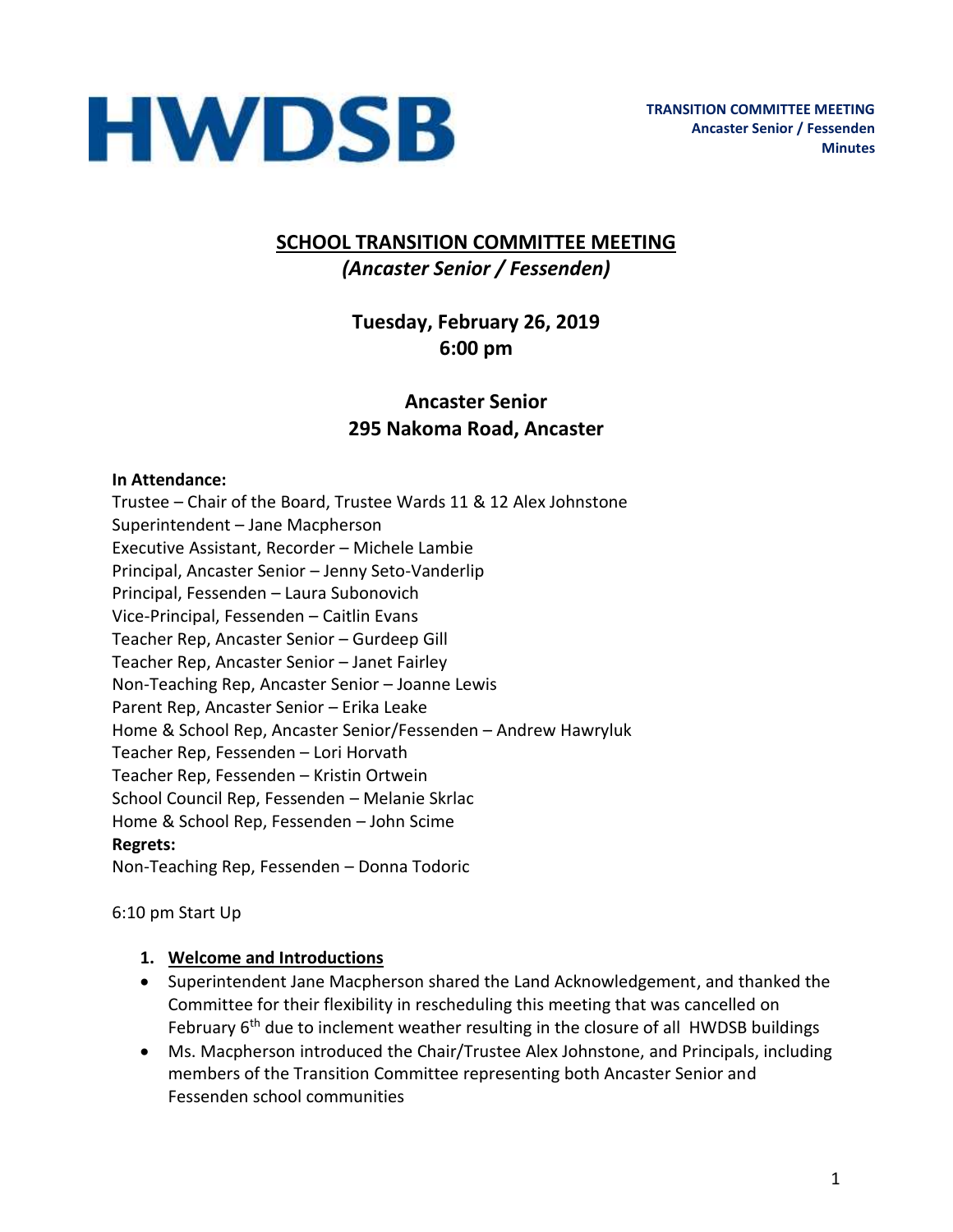

# **SCHOOL TRANSITION COMMITTEE MEETING** *(Ancaster Senior / Fessenden)*

# **Tuesday, February 26, 2019 6:00 pm**

# **Ancaster Senior 295 Nakoma Road, Ancaster**

#### **In Attendance:**

Trustee – Chair of the Board, Trustee Wards 11 & 12 Alex Johnstone Superintendent – Jane Macpherson Executive Assistant, Recorder – Michele Lambie Principal, Ancaster Senior – Jenny Seto-Vanderlip Principal, Fessenden – Laura Subonovich Vice-Principal, Fessenden – Caitlin Evans Teacher Rep, Ancaster Senior – Gurdeep Gill Teacher Rep, Ancaster Senior – Janet Fairley Non-Teaching Rep, Ancaster Senior – Joanne Lewis Parent Rep, Ancaster Senior – Erika Leake Home & School Rep, Ancaster Senior/Fessenden – Andrew Hawryluk Teacher Rep, Fessenden – Lori Horvath Teacher Rep, Fessenden – Kristin Ortwein School Council Rep, Fessenden – Melanie Skrlac Home & School Rep, Fessenden – John Scime **Regrets:**  Non-Teaching Rep, Fessenden – Donna Todoric

### 6:10 pm Start Up

### **1. Welcome and Introductions**

- Superintendent Jane Macpherson shared the Land Acknowledgement, and thanked the Committee for their flexibility in rescheduling this meeting that was cancelled on February 6<sup>th</sup> due to inclement weather resulting in the closure of all HWDSB buildings
- Ms. Macpherson introduced the Chair/Trustee Alex Johnstone, and Principals, including members of the Transition Committee representing both Ancaster Senior and Fessenden school communities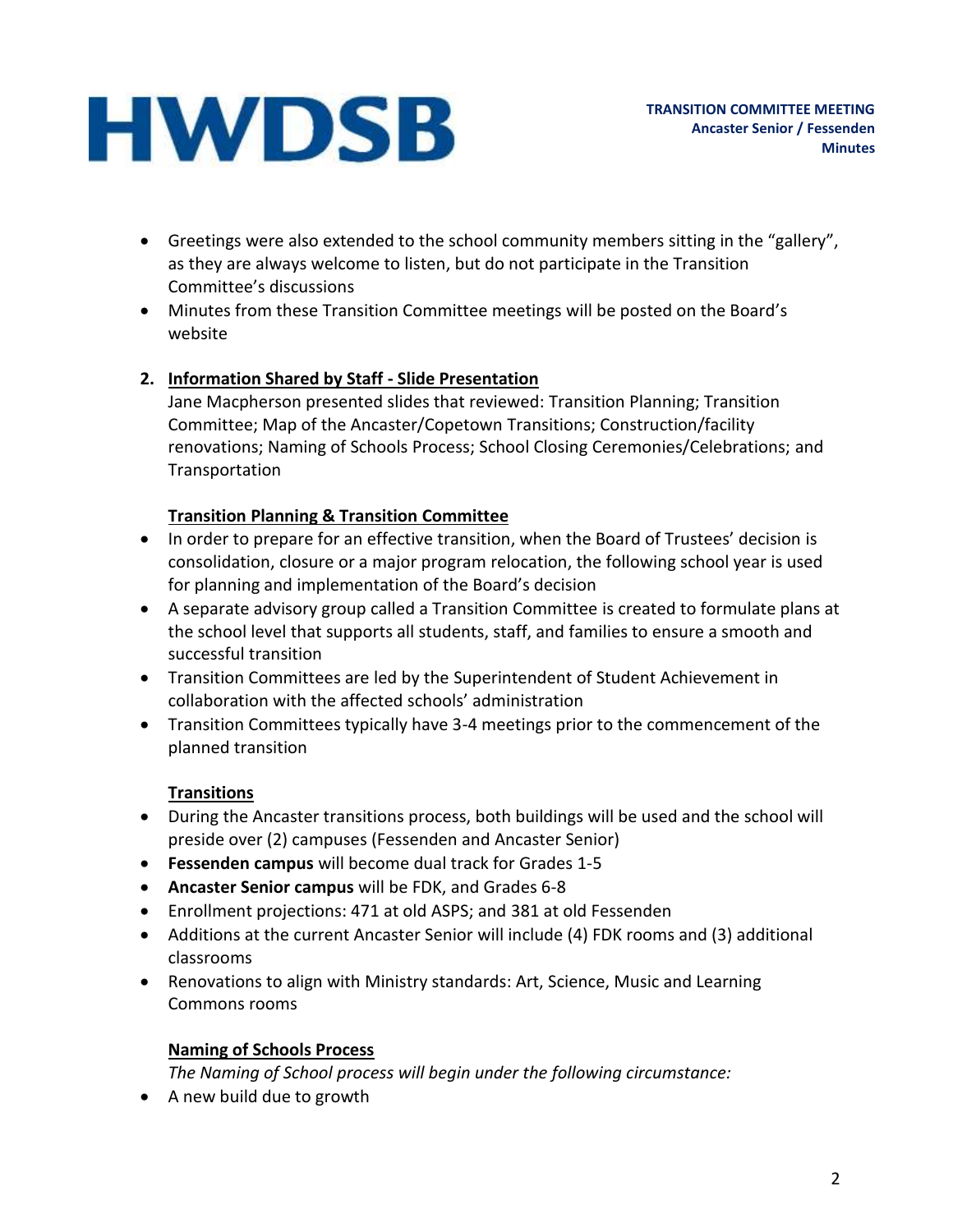- Greetings were also extended to the school community members sitting in the "gallery", as they are always welcome to listen, but do not participate in the Transition Committee's discussions
- Minutes from these Transition Committee meetings will be posted on the Board's website

## **2. Information Shared by Staff - Slide Presentation**

Jane Macpherson presented slides that reviewed: Transition Planning; Transition Committee; Map of the Ancaster/Copetown Transitions; Construction/facility renovations; Naming of Schools Process; School Closing Ceremonies/Celebrations; and Transportation

## **Transition Planning & Transition Committee**

- In order to prepare for an effective transition, when the Board of Trustees' decision is consolidation, closure or a major program relocation, the following school year is used for planning and implementation of the Board's decision
- A separate advisory group called a Transition Committee is created to formulate plans at the school level that supports all students, staff, and families to ensure a smooth and successful transition
- Transition Committees are led by the Superintendent of Student Achievement in collaboration with the affected schools' administration
- Transition Committees typically have 3-4 meetings prior to the commencement of the planned transition

## **Transitions**

- During the Ancaster transitions process, both buildings will be used and the school will preside over (2) campuses (Fessenden and Ancaster Senior)
- **Fessenden campus** will become dual track for Grades 1-5
- **Ancaster Senior campus** will be FDK, and Grades 6-8
- Enrollment projections: 471 at old ASPS; and 381 at old Fessenden
- Additions at the current Ancaster Senior will include (4) FDK rooms and (3) additional classrooms
- Renovations to align with Ministry standards: Art, Science, Music and Learning Commons rooms

## **Naming of Schools Process**

*The Naming of School process will begin under the following circumstance:*

• A new build due to growth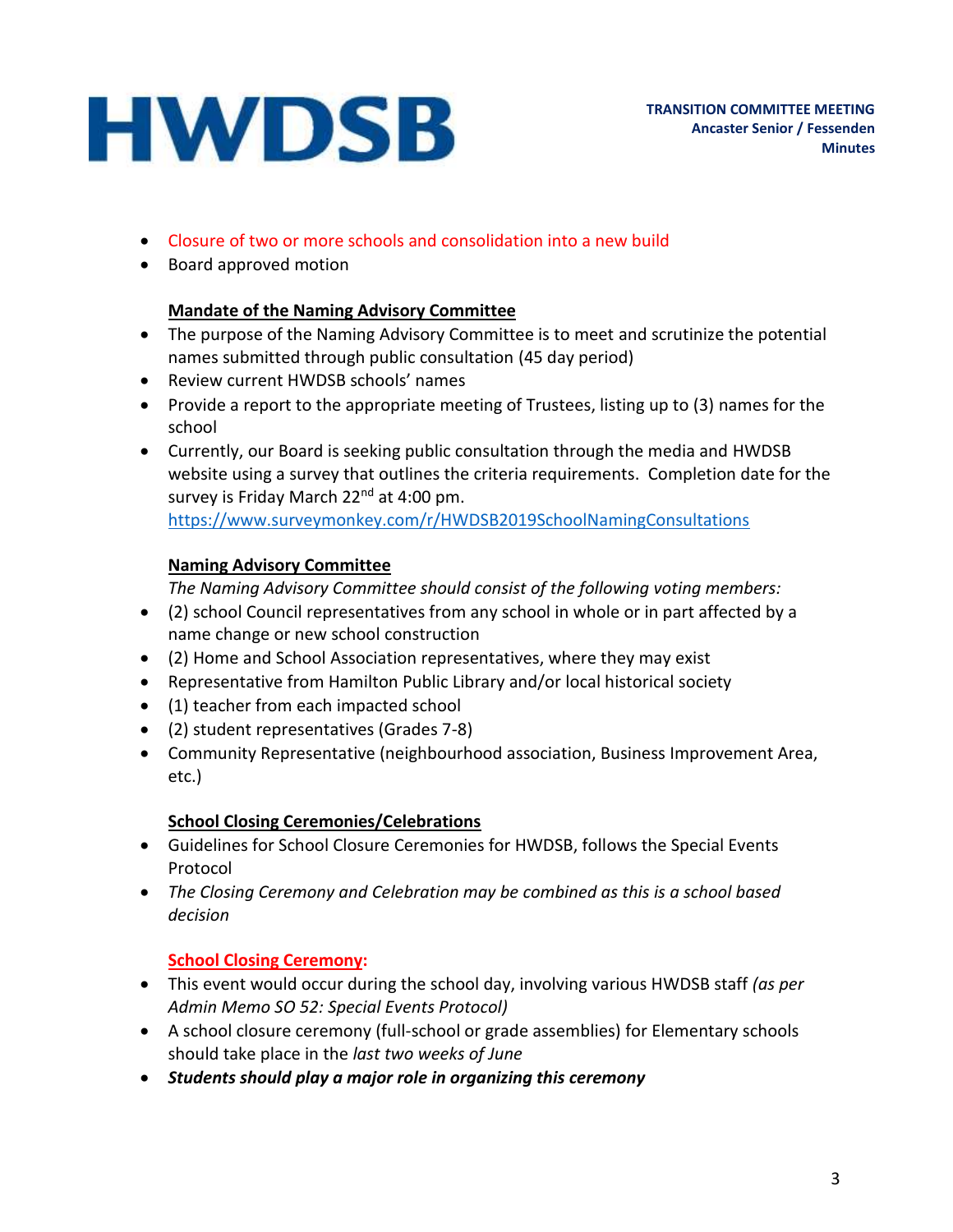- Closure of two or more schools and consolidation into a new build
- Board approved motion

### **Mandate of the Naming Advisory Committee**

- The purpose of the Naming Advisory Committee is to meet and scrutinize the potential names submitted through public consultation (45 day period)
- Review current HWDSB schools' names
- Provide a report to the appropriate meeting of Trustees, listing up to (3) names for the school
- Currently, our Board is seeking public consultation through the media and HWDSB website using a survey that outlines the criteria requirements. Completion date for the survey is Friday March 22<sup>nd</sup> at 4:00 pm.

<https://www.surveymonkey.com/r/HWDSB2019SchoolNamingConsultations>

### **Naming Advisory Committee**

*The Naming Advisory Committee should consist of the following voting members:*

- (2) school Council representatives from any school in whole or in part affected by a name change or new school construction
- (2) Home and School Association representatives, where they may exist
- Representative from Hamilton Public Library and/or local historical society
- (1) teacher from each impacted school
- (2) student representatives (Grades 7-8)
- Community Representative (neighbourhood association, Business Improvement Area, etc.)

### **School Closing Ceremonies/Celebrations**

- Guidelines for School Closure Ceremonies for HWDSB, follows the Special Events Protocol
- *The Closing Ceremony and Celebration may be combined as this is a school based decision*

## **School Closing Ceremony:**

- This event would occur during the school day, involving various HWDSB staff *(as per Admin Memo SO 52: Special Events Protocol)*
- A school closure ceremony (full-school or grade assemblies) for Elementary schools should take place in the *last two weeks of June*
- *Students should play a major role in organizing this ceremony*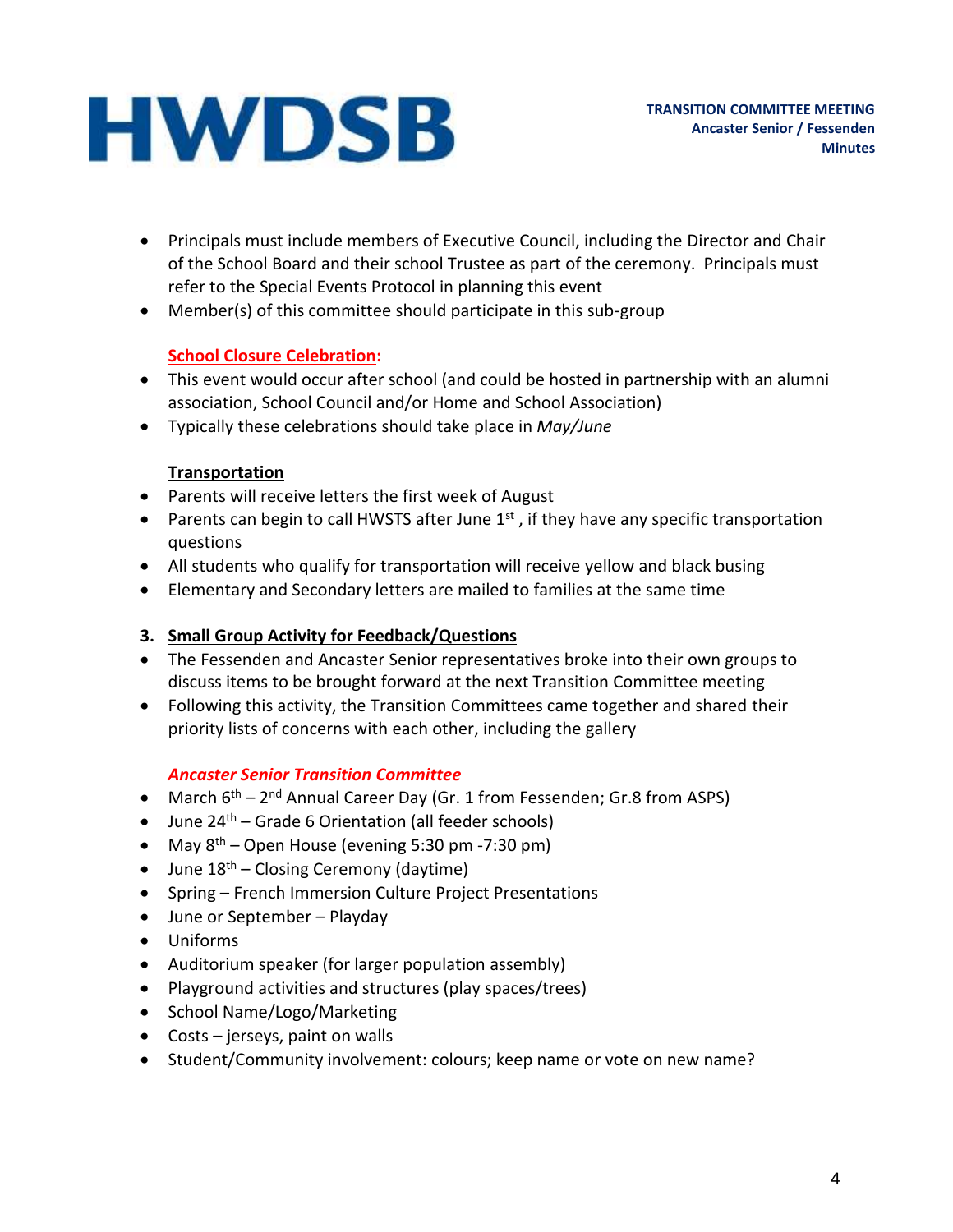- Principals must include members of Executive Council, including the Director and Chair of the School Board and their school Trustee as part of the ceremony. Principals must refer to the Special Events Protocol in planning this event
- Member(s) of this committee should participate in this sub-group

# **School Closure Celebration:**

- This event would occur after school (and could be hosted in partnership with an alumni association, School Council and/or Home and School Association)
- Typically these celebrations should take place in *May/June*

## **Transportation**

- Parents will receive letters the first week of August
- Parents can begin to call HWSTS after June  $1<sup>st</sup>$ , if they have any specific transportation questions
- All students who qualify for transportation will receive yellow and black busing
- Elementary and Secondary letters are mailed to families at the same time

# **3. Small Group Activity for Feedback/Questions**

- The Fessenden and Ancaster Senior representatives broke into their own groups to discuss items to be brought forward at the next Transition Committee meeting
- Following this activity, the Transition Committees came together and shared their priority lists of concerns with each other, including the gallery

# *Ancaster Senior Transition Committee*

- March 6<sup>th</sup> 2<sup>nd</sup> Annual Career Day (Gr. 1 from Fessenden; Gr.8 from ASPS)
- June  $24<sup>th</sup>$  Grade 6 Orientation (all feeder schools)
- May  $8^{th}$  Open House (evening 5:30 pm -7:30 pm)
- June  $18^{th}$  Closing Ceremony (daytime)
- Spring French Immersion Culture Project Presentations
- June or September Playday
- Uniforms
- Auditorium speaker (for larger population assembly)
- Playground activities and structures (play spaces/trees)
- School Name/Logo/Marketing
- Costs jerseys, paint on walls
- Student/Community involvement: colours; keep name or vote on new name?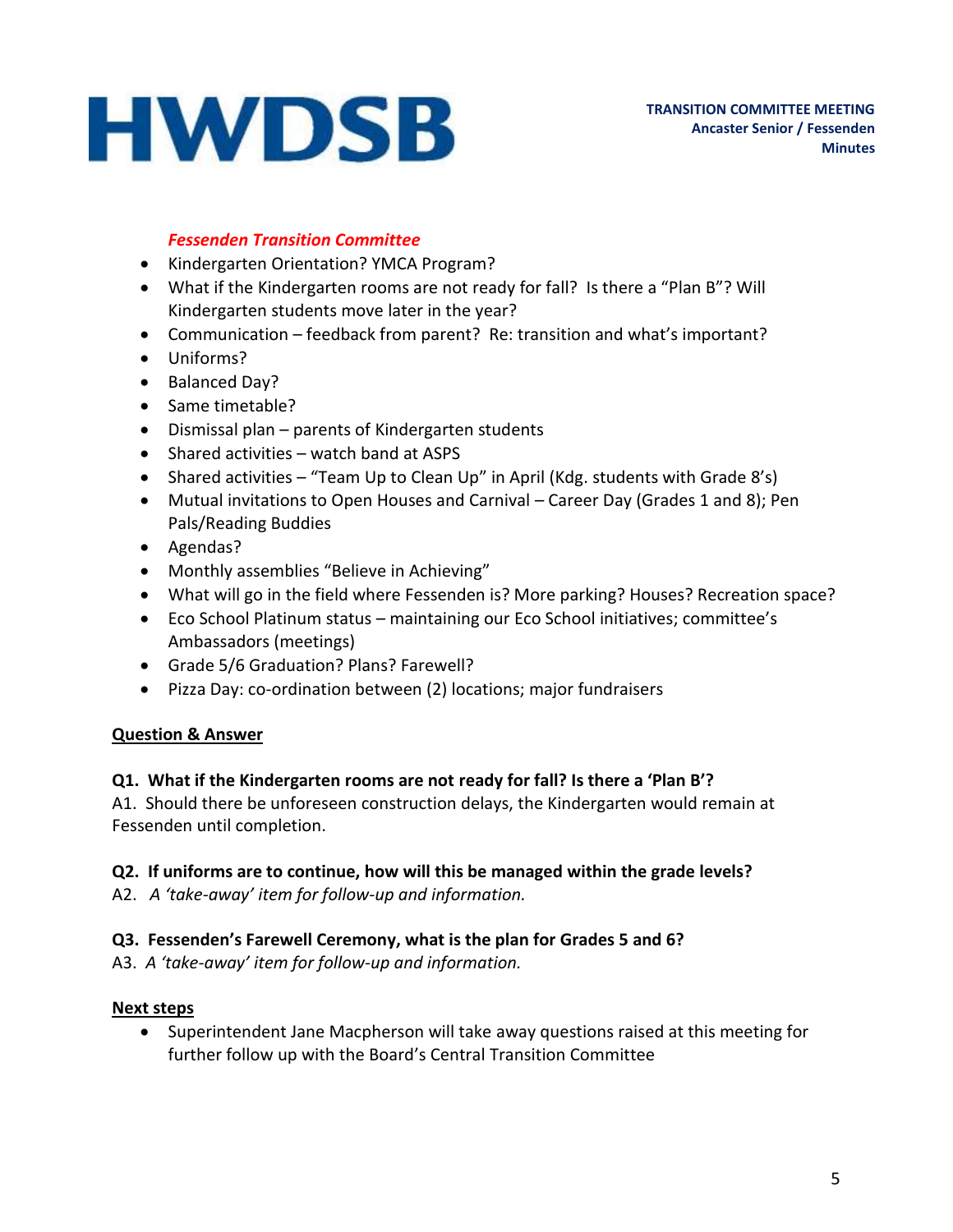## *Fessenden Transition Committee*

- Kindergarten Orientation? YMCA Program?
- What if the Kindergarten rooms are not ready for fall? Is there a "Plan B"? Will Kindergarten students move later in the year?
- Communication feedback from parent? Re: transition and what's important?
- Uniforms?
- Balanced Day?
- Same timetable?
- Dismissal plan parents of Kindergarten students
- Shared activities watch band at ASPS
- Shared activities "Team Up to Clean Up" in April (Kdg. students with Grade 8's)
- Mutual invitations to Open Houses and Carnival Career Day (Grades 1 and 8); Pen Pals/Reading Buddies
- Agendas?
- Monthly assemblies "Believe in Achieving"
- What will go in the field where Fessenden is? More parking? Houses? Recreation space?
- Eco School Platinum status maintaining our Eco School initiatives; committee's Ambassadors (meetings)
- Grade 5/6 Graduation? Plans? Farewell?
- Pizza Day: co-ordination between (2) locations; major fundraisers

### **Question & Answer**

### **Q1. What if the Kindergarten rooms are not ready for fall? Is there a 'Plan B'?**

A1. Should there be unforeseen construction delays, the Kindergarten would remain at Fessenden until completion.

### **Q2. If uniforms are to continue, how will this be managed within the grade levels?**

A2. *A 'take-away' item for follow-up and information.*

### **Q3. Fessenden's Farewell Ceremony, what is the plan for Grades 5 and 6?**

A3. *A 'take-away' item for follow-up and information.*

### **Next steps**

• Superintendent Jane Macpherson will take away questions raised at this meeting for further follow up with the Board's Central Transition Committee